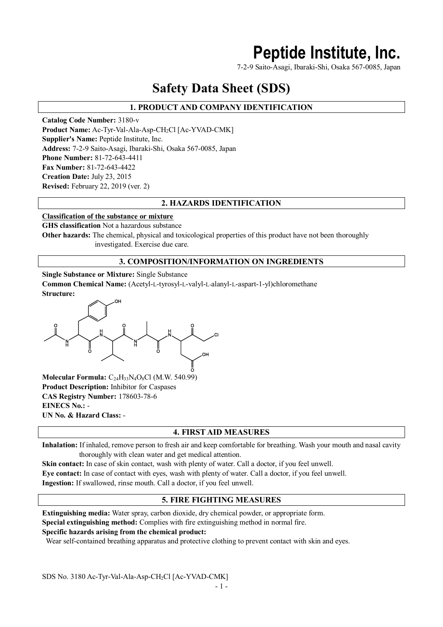# **Peptide Institute, Inc.**

7-2-9 Saito-Asagi, Ibaraki-Shi, Osaka 567-0085, Japan

# **Safety Data Sheet (SDS)**

# **1. PRODUCT AND COMPANY IDENTIFICATION**

**Catalog Code Number:** 3180-v Product Name: Ac-Tyr-Val-Ala-Asp-CH<sub>2</sub>Cl [Ac-YVAD-CMK] **Supplier's Name:** Peptide Institute, Inc. **Address:** 7-2-9 Saito-Asagi, Ibaraki-Shi, Osaka 567-0085, Japan **Phone Number:** 81-72-643-4411 **Fax Number:** 81-72-643-4422 **Creation Date:** July 23, 2015 **Revised:** February 22, 2019 (ver. 2)

# **2. HAZARDS IDENTIFICATION**

#### **Classification of the substance or mixture**

**GHS classification** Not a hazardous substance

**Other hazards:** The chemical, physical and toxicological properties of this product have not been thoroughly investigated. Exercise due care.

### **3. COMPOSITION/INFORMATION ON INGREDIENTS**

**Single Substance or Mixture:** Single Substance **Common Chemical Name:** (Acetyl-L-tyrosyl-L-valyl-L-alanyl-L-aspart-1-yl)chloromethane **Structure:**



**Molecular Formula:** C24H33N4O8Cl (M.W. 540.99) **Product Description:** Inhibitor for Caspases **CAS Registry Number:** 178603-78-6 **EINECS No.:** - **UN No. & Hazard Class:** -

# **4. FIRST AID MEASURES**

**Inhalation:** If inhaled, remove person to fresh air and keep comfortable for breathing. Wash your mouth and nasal cavity thoroughly with clean water and get medical attention.

**Skin contact:** In case of skin contact, wash with plenty of water. Call a doctor, if you feel unwell. **Eye contact:** In case of contact with eyes, wash with plenty of water. Call a doctor, if you feel unwell. **Ingestion:** If swallowed, rinse mouth. Call a doctor, if you feel unwell.

# **5. FIRE FIGHTING MEASURES**

**Extinguishing media:** Water spray, carbon dioxide, dry chemical powder, or appropriate form. **Special extinguishing method:** Complies with fire extinguishing method in normal fire. **Specific hazards arising from the chemical product:**

Wear self-contained breathing apparatus and protective clothing to prevent contact with skin and eyes.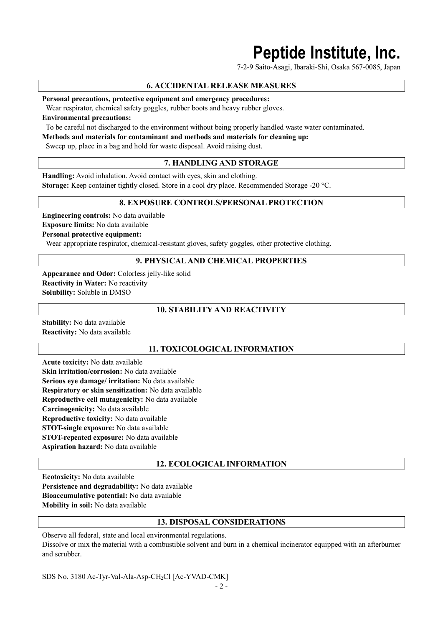# **Peptide Institute, Inc.**

7-2-9 Saito-Asagi, Ibaraki-Shi, Osaka 567-0085, Japan

# **6. ACCIDENTAL RELEASE MEASURES**

**Personal precautions, protective equipment and emergency procedures:**

Wear respirator, chemical safety goggles, rubber boots and heavy rubber gloves.

**Environmental precautions:**

To be careful not discharged to the environment without being properly handled waste water contaminated.

**Methods and materials for contaminant and methods and materials for cleaning up:**

Sweep up, place in a bag and hold for waste disposal. Avoid raising dust.

# **7. HANDLING AND STORAGE**

**Handling:** Avoid inhalation. Avoid contact with eyes, skin and clothing. **Storage:** Keep container tightly closed. Store in a cool dry place. Recommended Storage -20 °C.

#### **8. EXPOSURE CONTROLS/PERSONAL PROTECTION**

**Engineering controls:** No data available **Exposure limits:** No data available **Personal protective equipment:** Wear appropriate respirator, chemical-resistant gloves, safety goggles, other protective clothing.

#### **9. PHYSICAL AND CHEMICAL PROPERTIES**

**Appearance and Odor:** Colorless jelly-like solid **Reactivity in Water:** No reactivity **Solubility:** Soluble in DMSO

# **10. STABILITY AND REACTIVITY**

**Stability:** No data available **Reactivity:** No data available

#### **11. TOXICOLOGICAL INFORMATION**

**Acute toxicity:** No data available **Skin irritation/corrosion:** No data available **Serious eye damage/ irritation:** No data available **Respiratory or skin sensitization:** No data available **Reproductive cell mutagenicity:** No data available **Carcinogenicity:** No data available **Reproductive toxicity:** No data available **STOT-single exposure:** No data available **STOT-repeated exposure:** No data available **Aspiration hazard:** No data available

#### **12. ECOLOGICAL INFORMATION**

**Ecotoxicity:** No data available **Persistence and degradability:** No data available **Bioaccumulative potential:** No data available **Mobility in soil:** No data available

#### **13. DISPOSAL CONSIDERATIONS**

Observe all federal, state and local environmental regulations. Dissolve or mix the material with a combustible solvent and burn in a chemical incinerator equipped with an afterburner and scrubber.